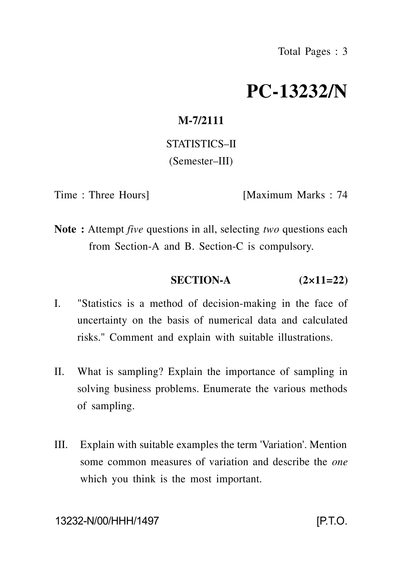# **PC-13232/N**

# **M-7/2111**

STATISTICS–II (Semester–III)

Time : Three Hours] [Maximum Marks : 74

**Note :** Attempt *five* questions in all, selecting *two* questions each from Section-A and B. Section-C is compulsory.

### **SECTION-A (2×11=22)**

- I. "Statistics is a method of decision-making in the face of uncertainty on the basis of numerical data and calculated risks." Comment and explain with suitable illustrations.
- II. What is sampling? Explain the importance of sampling in solving business problems. Enumerate the various methods of sampling.
- III. Explain with suitable examples the term 'Variation'. Mention some common measures of variation and describe the *one* which you think is the most important.

13232-N/00/HHH/1497 [P.T.O.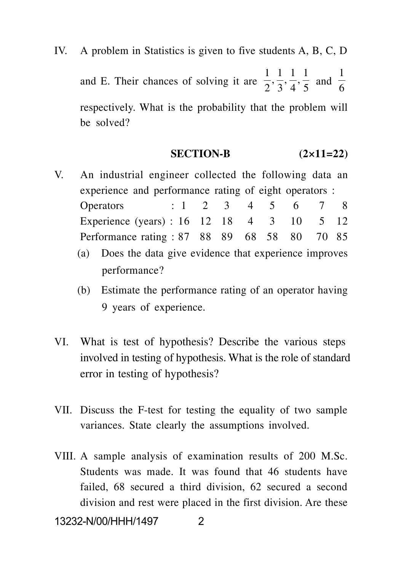IV. A problem in Statistics is given to five students A, B, C, D and E. Their chances of solving it are  $\frac{1}{2}$ ,  $\frac{1}{3}$ ,  $\frac{1}{4}$ ,  $\frac{1}{5}$  and  $\frac{1}{6}$  $\frac{1}{2}, \frac{1}{3}, \frac{1}{4}, \frac{1}{5}$  and  $\frac{1}{6}$ and  $\overline{6}$ 1 respectively. What is the probability that the problem will be solved?

#### **SECTION-B (2×11=22)**

- V. An industrial engineer collected the following data an experience and performance rating of eight operators : Operators : 1 2 3 4 5 6 7 8 Experience (years) : 16 12 18 4 3 10 5 12 Performance rating : 87 88 89 68 58 80 70 85
	- (a) Does the data give evidence that experience improves performance?
	- (b) Estimate the performance rating of an operator having 9 years of experience.
- VI. What is test of hypothesis? Describe the various steps involved in testing of hypothesis. What is the role of standard error in testing of hypothesis?
- VII. Discuss the F-test for testing the equality of two sample variances. State clearly the assumptions involved.
- VIII. A sample analysis of examination results of 200 M.Sc. Students was made. It was found that 46 students have failed, 68 secured a third division, 62 secured a second division and rest were placed in the first division. Are these

13232-N/00/HHH/1497 2